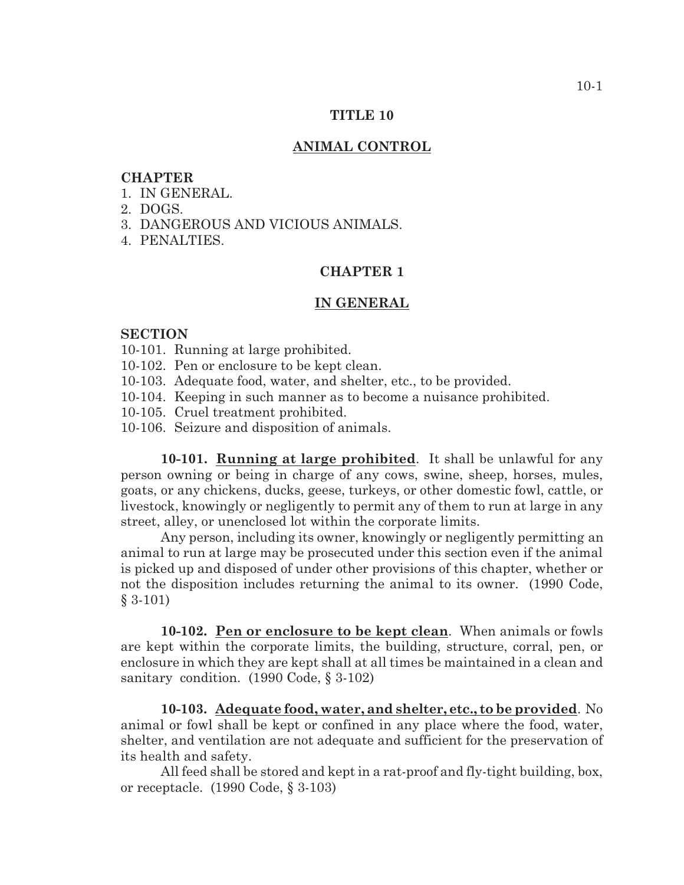#### **TITLE 10**

#### **ANIMAL CONTROL**

### **CHAPTER**

- 1. IN GENERAL.
- 2. DOGS.
- 3. DANGEROUS AND VICIOUS ANIMALS.
- 4. PENALTIES.

### **CHAPTER 1**

#### **IN GENERAL**

#### **SECTION**

- 10-101. Running at large prohibited.
- 10-102. Pen or enclosure to be kept clean.
- 10-103. Adequate food, water, and shelter, etc., to be provided.
- 10-104. Keeping in such manner as to become a nuisance prohibited.
- 10-105. Cruel treatment prohibited.
- 10-106. Seizure and disposition of animals.

**10-101. Running at large prohibited**. It shall be unlawful for any person owning or being in charge of any cows, swine, sheep, horses, mules, goats, or any chickens, ducks, geese, turkeys, or other domestic fowl, cattle, or livestock, knowingly or negligently to permit any of them to run at large in any street, alley, or unenclosed lot within the corporate limits.

Any person, including its owner, knowingly or negligently permitting an animal to run at large may be prosecuted under this section even if the animal is picked up and disposed of under other provisions of this chapter, whether or not the disposition includes returning the animal to its owner. (1990 Code, § 3-101)

**10-102. Pen or enclosure to be kept clean**. When animals or fowls are kept within the corporate limits, the building, structure, corral, pen, or enclosure in which they are kept shall at all times be maintained in a clean and sanitary condition. (1990 Code, § 3-102)

**10-103. Adequate food, water, and shelter, etc., to be provided**. No animal or fowl shall be kept or confined in any place where the food, water, shelter, and ventilation are not adequate and sufficient for the preservation of its health and safety.

All feed shall be stored and kept in a rat-proof and fly-tight building, box, or receptacle. (1990 Code, § 3-103)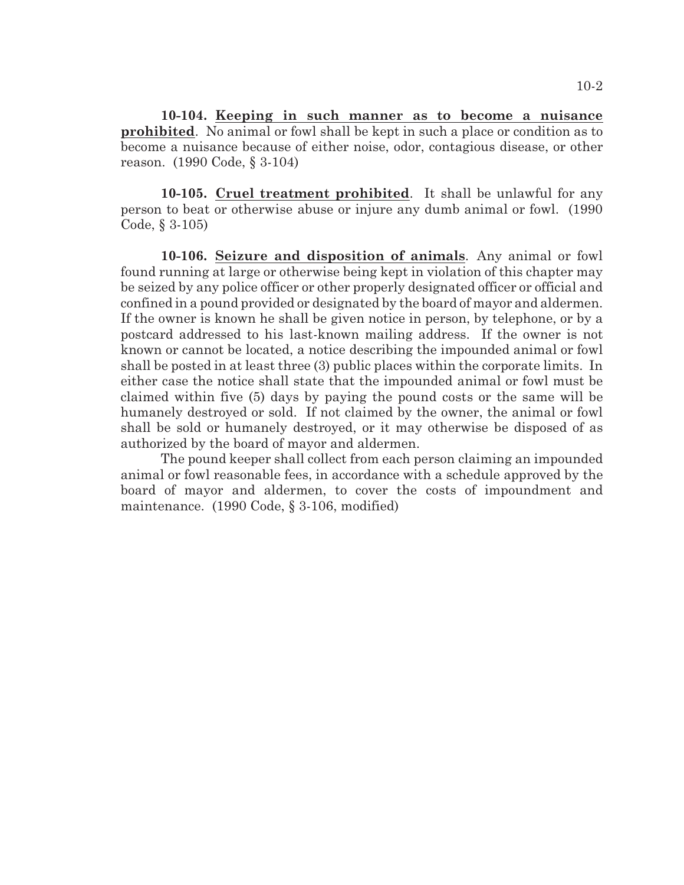**10-104. Keeping in such manner as to become a nuisance prohibited**. No animal or fowl shall be kept in such a place or condition as to become a nuisance because of either noise, odor, contagious disease, or other reason. (1990 Code, § 3-104)

**10-105. Cruel treatment prohibited**. It shall be unlawful for any person to beat or otherwise abuse or injure any dumb animal or fowl. (1990 Code, § 3-105)

**10-106. Seizure and disposition of animals**. Any animal or fowl found running at large or otherwise being kept in violation of this chapter may be seized by any police officer or other properly designated officer or official and confined in a pound provided or designated by the board of mayor and aldermen. If the owner is known he shall be given notice in person, by telephone, or by a postcard addressed to his last-known mailing address. If the owner is not known or cannot be located, a notice describing the impounded animal or fowl shall be posted in at least three (3) public places within the corporate limits. In either case the notice shall state that the impounded animal or fowl must be claimed within five (5) days by paying the pound costs or the same will be humanely destroyed or sold. If not claimed by the owner, the animal or fowl shall be sold or humanely destroyed, or it may otherwise be disposed of as authorized by the board of mayor and aldermen.

The pound keeper shall collect from each person claiming an impounded animal or fowl reasonable fees, in accordance with a schedule approved by the board of mayor and aldermen, to cover the costs of impoundment and maintenance. (1990 Code, § 3-106, modified)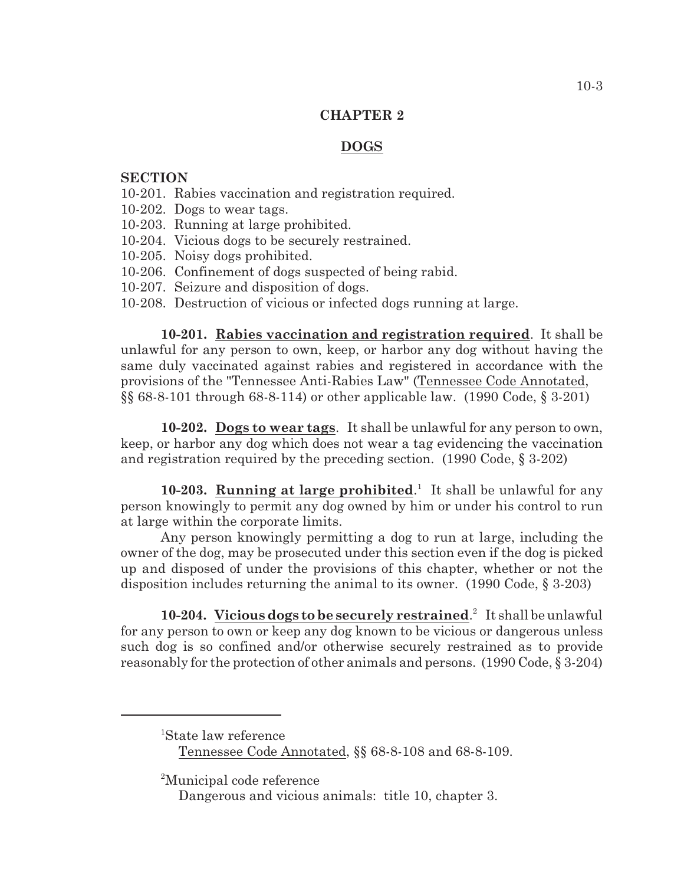### **CHAPTER 2**

## **DOGS**

### **SECTION**

- 10-201. Rabies vaccination and registration required.
- 10-202. Dogs to wear tags.
- 10-203. Running at large prohibited.
- 10-204. Vicious dogs to be securely restrained.
- 10-205. Noisy dogs prohibited.
- 10-206. Confinement of dogs suspected of being rabid.
- 10-207. Seizure and disposition of dogs.
- 10-208. Destruction of vicious or infected dogs running at large.

**10-201. Rabies vaccination and registration required**. It shall be unlawful for any person to own, keep, or harbor any dog without having the same duly vaccinated against rabies and registered in accordance with the provisions of the "Tennessee Anti-Rabies Law" (Tennessee Code Annotated, §§ 68-8-101 through 68-8-114) or other applicable law. (1990 Code, § 3-201)

**10-202. Dogs to wear tags**. It shall be unlawful for any person to own, keep, or harbor any dog which does not wear a tag evidencing the vaccination and registration required by the preceding section. (1990 Code, § 3-202)

10-203. **Running at large prohibited**.<sup>1</sup> It shall be unlawful for any person knowingly to permit any dog owned by him or under his control to run at large within the corporate limits.

Any person knowingly permitting a dog to run at large, including the owner of the dog, may be prosecuted under this section even if the dog is picked up and disposed of under the provisions of this chapter, whether or not the disposition includes returning the animal to its owner. (1990 Code, § 3-203)

**10-204.** Vicious dogs to be securely restrained.<sup>2</sup> It shall be unlawful for any person to own or keep any dog known to be vicious or dangerous unless such dog is so confined and/or otherwise securely restrained as to provide reasonably for the protection of other animals and persons. (1990 Code, § 3-204)

 ${}^{1}$ State law reference Tennessee Code Annotated, §§ 68-8-108 and 68-8-109.

<sup>2</sup>Municipal code reference

Dangerous and vicious animals: title 10, chapter 3.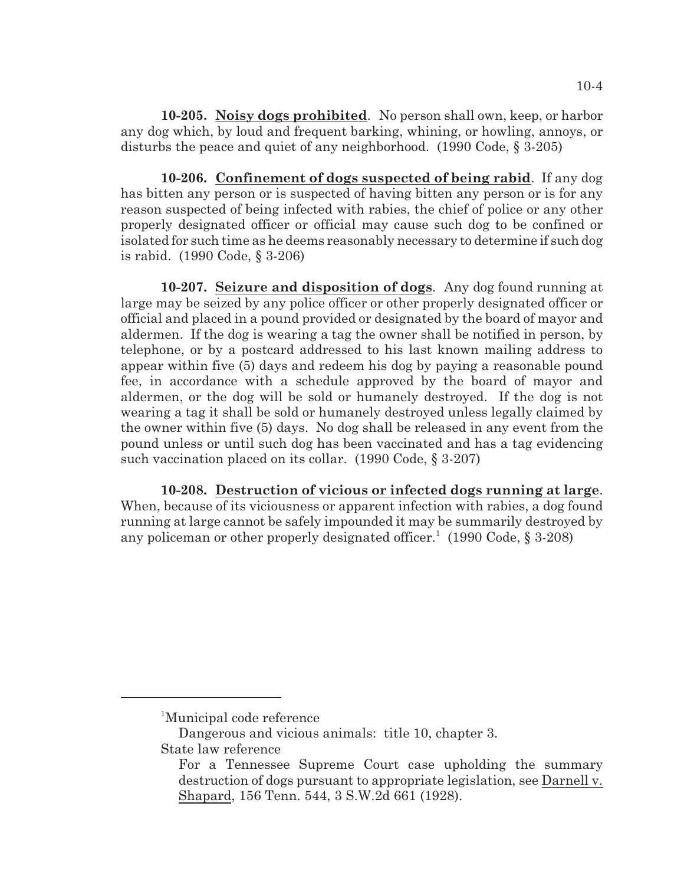**10-205. Noisy dogs prohibited**. No person shall own, keep, or harbor any dog which, by loud and frequent barking, whining, or howling, annoys, or disturbs the peace and quiet of any neighborhood. (1990 Code, § 3-205)

**10-206. Confinement of dogs suspected of being rabid**. If any dog has bitten any person or is suspected of having bitten any person or is for any reason suspected of being infected with rabies, the chief of police or any other properly designated officer or official may cause such dog to be confined or isolated for such time as he deems reasonably necessary to determine if such dog is rabid. (1990 Code, § 3-206)

**10-207. Seizure and disposition of dogs**. Any dog found running at large may be seized by any police officer or other properly designated officer or official and placed in a pound provided or designated by the board of mayor and aldermen. If the dog is wearing a tag the owner shall be notified in person, by telephone, or by a postcard addressed to his last known mailing address to appear within five (5) days and redeem his dog by paying a reasonable pound fee, in accordance with a schedule approved by the board of mayor and aldermen, or the dog will be sold or humanely destroyed. If the dog is not wearing a tag it shall be sold or humanely destroyed unless legally claimed by the owner within five (5) days. No dog shall be released in any event from the pound unless or until such dog has been vaccinated and has a tag evidencing such vaccination placed on its collar. (1990 Code, § 3-207)

**10-208. Destruction of vicious or infected dogs running at large**. When, because of its viciousness or apparent infection with rabies, a dog found running at large cannot be safely impounded it may be summarily destroyed by any policeman or other properly designated officer.<sup>1</sup> (1990 Code,  $\S$  3-208)

<sup>&</sup>lt;sup>1</sup>Municipal code reference

Dangerous and vicious animals: title 10, chapter 3. State law reference

For a Tennessee Supreme Court case upholding the summary destruction of dogs pursuant to appropriate legislation, see Darnell v. Shapard, 156 Tenn. 544, 3 S.W.2d 661 (1928).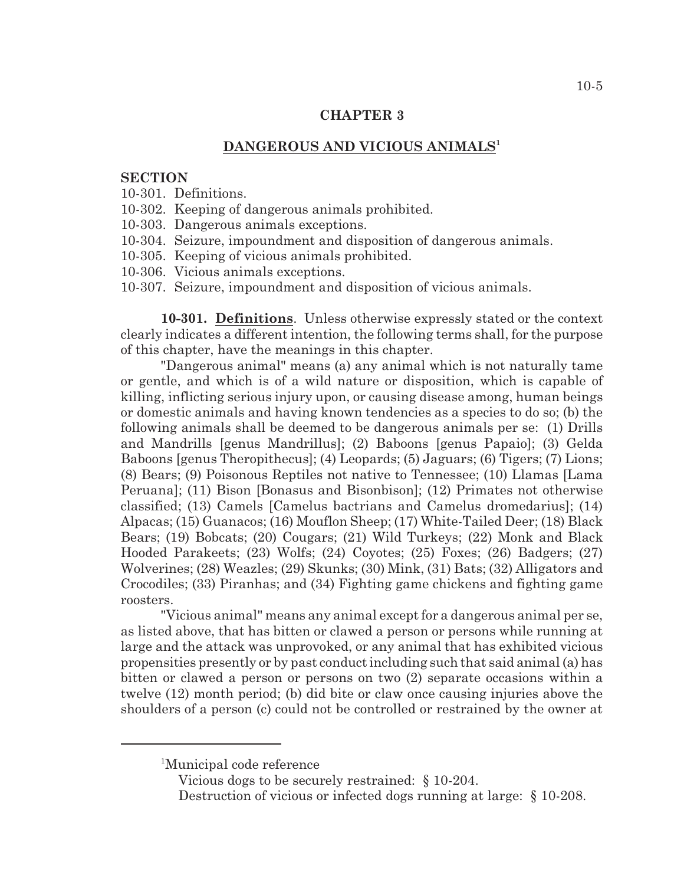#### **CHAPTER 3**

### **DANGEROUS AND VICIOUS ANIMALS<sup>1</sup>**

#### **SECTION**

- 10-301. Definitions.
- 10-302. Keeping of dangerous animals prohibited.
- 10-303. Dangerous animals exceptions.
- 10-304. Seizure, impoundment and disposition of dangerous animals.
- 10-305. Keeping of vicious animals prohibited.
- 10-306. Vicious animals exceptions.
- 10-307. Seizure, impoundment and disposition of vicious animals.

**10-301. Definitions**. Unless otherwise expressly stated or the context clearly indicates a different intention, the following terms shall, for the purpose of this chapter, have the meanings in this chapter.

"Dangerous animal" means (a) any animal which is not naturally tame or gentle, and which is of a wild nature or disposition, which is capable of killing, inflicting serious injury upon, or causing disease among, human beings or domestic animals and having known tendencies as a species to do so; (b) the following animals shall be deemed to be dangerous animals per se: (1) Drills and Mandrills [genus Mandrillus]; (2) Baboons [genus Papaio]; (3) Gelda Baboons [genus Theropithecus]; (4) Leopards; (5) Jaguars; (6) Tigers; (7) Lions; (8) Bears; (9) Poisonous Reptiles not native to Tennessee; (10) Llamas [Lama Peruana]; (11) Bison [Bonasus and Bisonbison]; (12) Primates not otherwise classified; (13) Camels [Camelus bactrians and Camelus dromedarius]; (14) Alpacas; (15) Guanacos; (16) Mouflon Sheep; (17) White-Tailed Deer; (18) Black Bears; (19) Bobcats; (20) Cougars; (21) Wild Turkeys; (22) Monk and Black Hooded Parakeets; (23) Wolfs; (24) Coyotes; (25) Foxes; (26) Badgers; (27) Wolverines; (28) Weazles; (29) Skunks; (30) Mink, (31) Bats; (32) Alligators and Crocodiles; (33) Piranhas; and (34) Fighting game chickens and fighting game roosters.

"Vicious animal" means any animal except for a dangerous animal per se, as listed above, that has bitten or clawed a person or persons while running at large and the attack was unprovoked, or any animal that has exhibited vicious propensities presently or by past conduct including such that said animal (a) has bitten or clawed a person or persons on two (2) separate occasions within a twelve (12) month period; (b) did bite or claw once causing injuries above the shoulders of a person (c) could not be controlled or restrained by the owner at

Vicious dogs to be securely restrained: § 10-204.

<sup>&</sup>lt;sup>1</sup>Municipal code reference

Destruction of vicious or infected dogs running at large: § 10-208.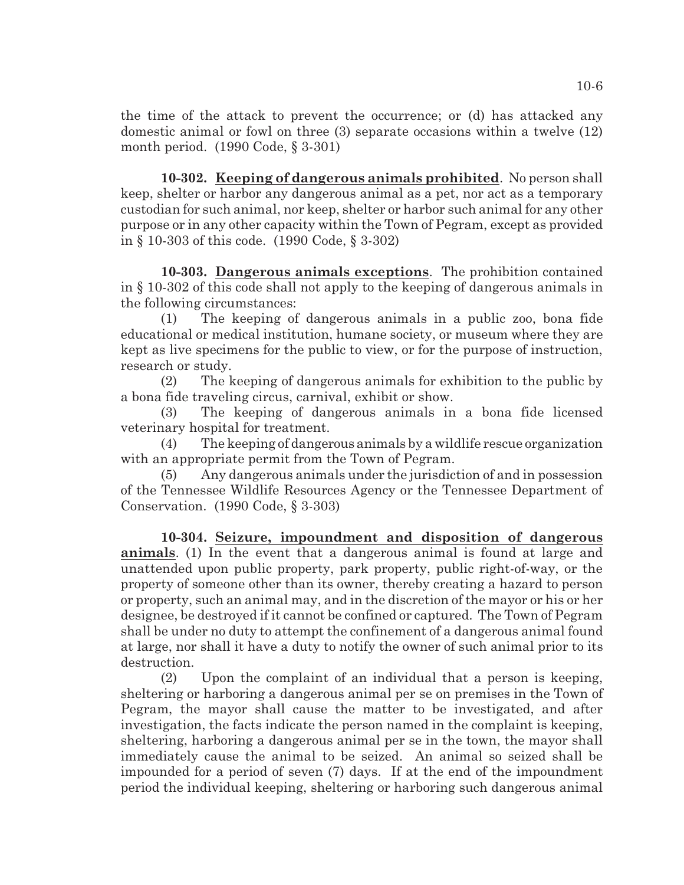the time of the attack to prevent the occurrence; or (d) has attacked any domestic animal or fowl on three (3) separate occasions within a twelve (12) month period. (1990 Code, § 3-301)

**10-302. Keeping of dangerous animals prohibited**. No person shall keep, shelter or harbor any dangerous animal as a pet, nor act as a temporary custodian for such animal, nor keep, shelter or harbor such animal for any other purpose or in any other capacity within the Town of Pegram, except as provided in § 10-303 of this code. (1990 Code, § 3-302)

**10-303. Dangerous animals exceptions**. The prohibition contained in § 10-302 of this code shall not apply to the keeping of dangerous animals in the following circumstances:

(1) The keeping of dangerous animals in a public zoo, bona fide educational or medical institution, humane society, or museum where they are kept as live specimens for the public to view, or for the purpose of instruction, research or study.

(2) The keeping of dangerous animals for exhibition to the public by a bona fide traveling circus, carnival, exhibit or show.

(3) The keeping of dangerous animals in a bona fide licensed veterinary hospital for treatment.

(4) The keeping of dangerous animals by a wildlife rescue organization with an appropriate permit from the Town of Pegram.

(5) Any dangerous animals under the jurisdiction of and in possession of the Tennessee Wildlife Resources Agency or the Tennessee Department of Conservation. (1990 Code, § 3-303)

**10-304. Seizure, impoundment and disposition of dangerous animals**. (1) In the event that a dangerous animal is found at large and unattended upon public property, park property, public right-of-way, or the property of someone other than its owner, thereby creating a hazard to person or property, such an animal may, and in the discretion of the mayor or his or her designee, be destroyed if it cannot be confined or captured. The Town of Pegram shall be under no duty to attempt the confinement of a dangerous animal found at large, nor shall it have a duty to notify the owner of such animal prior to its destruction.

(2) Upon the complaint of an individual that a person is keeping, sheltering or harboring a dangerous animal per se on premises in the Town of Pegram, the mayor shall cause the matter to be investigated, and after investigation, the facts indicate the person named in the complaint is keeping, sheltering, harboring a dangerous animal per se in the town, the mayor shall immediately cause the animal to be seized. An animal so seized shall be impounded for a period of seven (7) days. If at the end of the impoundment period the individual keeping, sheltering or harboring such dangerous animal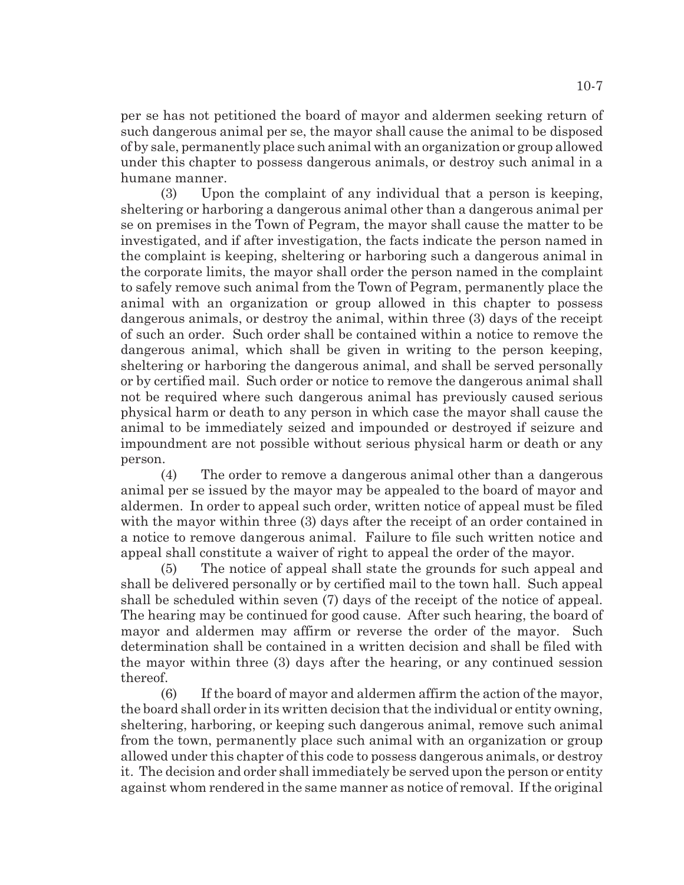per se has not petitioned the board of mayor and aldermen seeking return of such dangerous animal per se, the mayor shall cause the animal to be disposed of by sale, permanently place suchanimal with an organization or group allowed under this chapter to possess dangerous animals, or destroy such animal in a humane manner.

(3) Upon the complaint of any individual that a person is keeping, sheltering or harboring a dangerous animal other than a dangerous animal per se on premises in the Town of Pegram, the mayor shall cause the matter to be investigated, and if after investigation, the facts indicate the person named in the complaint is keeping, sheltering or harboring such a dangerous animal in the corporate limits, the mayor shall order the person named in the complaint to safely remove such animal from the Town of Pegram, permanently place the animal with an organization or group allowed in this chapter to possess dangerous animals, or destroy the animal, within three (3) days of the receipt of such an order. Such order shall be contained within a notice to remove the dangerous animal, which shall be given in writing to the person keeping, sheltering or harboring the dangerous animal, and shall be served personally or by certified mail. Such order or notice to remove the dangerous animal shall not be required where such dangerous animal has previously caused serious physical harm or death to any person in which case the mayor shall cause the animal to be immediately seized and impounded or destroyed if seizure and impoundment are not possible without serious physical harm or death or any person.

(4) The order to remove a dangerous animal other than a dangerous animal per se issued by the mayor may be appealed to the board of mayor and aldermen. In order to appeal such order, written notice of appeal must be filed with the mayor within three (3) days after the receipt of an order contained in a notice to remove dangerous animal. Failure to file such written notice and appeal shall constitute a waiver of right to appeal the order of the mayor.

(5) The notice of appeal shall state the grounds for such appeal and shall be delivered personally or by certified mail to the town hall. Such appeal shall be scheduled within seven (7) days of the receipt of the notice of appeal. The hearing may be continued for good cause. After such hearing, the board of mayor and aldermen may affirm or reverse the order of the mayor. Such determination shall be contained in a written decision and shall be filed with the mayor within three (3) days after the hearing, or any continued session thereof.

(6) If the board of mayor and aldermen affirm the action of the mayor, the board shall order in its written decision that the individual or entity owning, sheltering, harboring, or keeping such dangerous animal, remove such animal from the town, permanently place such animal with an organization or group allowed under this chapter of this code to possess dangerous animals, or destroy it. The decision and order shall immediately be served upon the person or entity against whom rendered in the same manner as notice of removal. If the original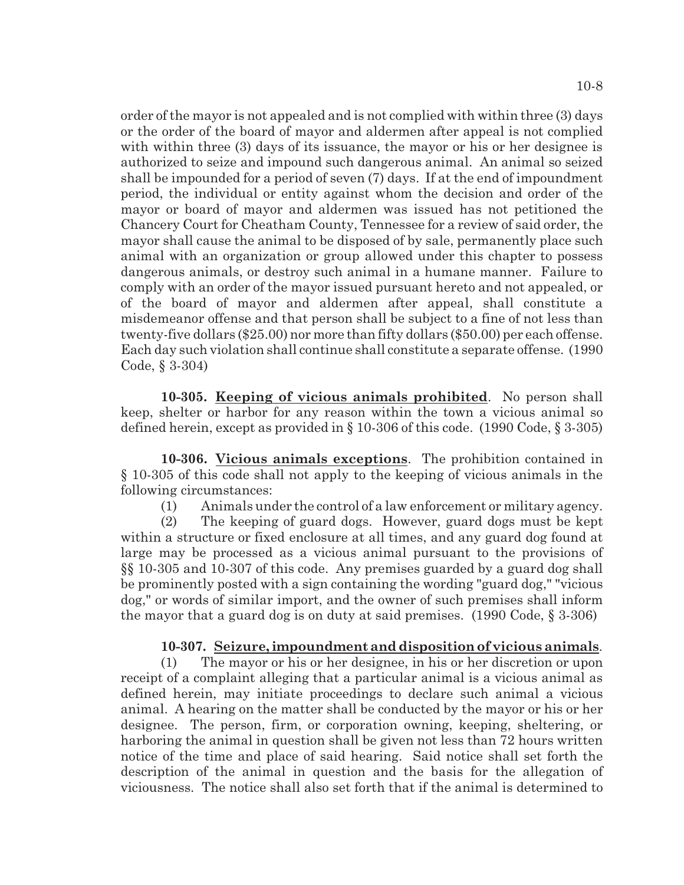order of the mayor is not appealed and is not complied with within three (3) days or the order of the board of mayor and aldermen after appeal is not complied with within three (3) days of its issuance, the mayor or his or her designee is authorized to seize and impound such dangerous animal. An animal so seized shall be impounded for a period of seven (7) days. If at the end of impoundment period, the individual or entity against whom the decision and order of the mayor or board of mayor and aldermen was issued has not petitioned the Chancery Court for Cheatham County, Tennessee for a review of said order, the mayor shall cause the animal to be disposed of by sale, permanently place such animal with an organization or group allowed under this chapter to possess dangerous animals, or destroy such animal in a humane manner. Failure to comply with an order of the mayor issued pursuant hereto and not appealed, or of the board of mayor and aldermen after appeal, shall constitute a misdemeanor offense and that person shall be subject to a fine of not less than twenty-five dollars (\$25.00) nor more than fifty dollars (\$50.00) per each offense. Each day such violation shall continue shall constitute a separate offense. (1990 Code, § 3-304)

**10-305. Keeping of vicious animals prohibited**. No person shall keep, shelter or harbor for any reason within the town a vicious animal so defined herein, except as provided in § 10-306 of this code. (1990 Code, § 3-305)

**10-306. Vicious animals exceptions**. The prohibition contained in § 10-305 of this code shall not apply to the keeping of vicious animals in the following circumstances:

(1) Animals under the control of a law enforcement or military agency.

(2) The keeping of guard dogs. However, guard dogs must be kept within a structure or fixed enclosure at all times, and any guard dog found at large may be processed as a vicious animal pursuant to the provisions of §§ 10-305 and 10-307 of this code. Any premises guarded by a guard dog shall be prominently posted with a sign containing the wording "guard dog," "vicious dog," or words of similar import, and the owner of such premises shall inform the mayor that a guard dog is on duty at said premises.  $(1990 \text{ Code}, \S 3-306)$ 

# **10-307. Seizure, impoundment anddisposition of vicious animals**.

(1) The mayor or his or her designee, in his or her discretion or upon receipt of a complaint alleging that a particular animal is a vicious animal as defined herein, may initiate proceedings to declare such animal a vicious animal. A hearing on the matter shall be conducted by the mayor or his or her designee. The person, firm, or corporation owning, keeping, sheltering, or harboring the animal in question shall be given not less than 72 hours written notice of the time and place of said hearing. Said notice shall set forth the description of the animal in question and the basis for the allegation of viciousness. The notice shall also set forth that if the animal is determined to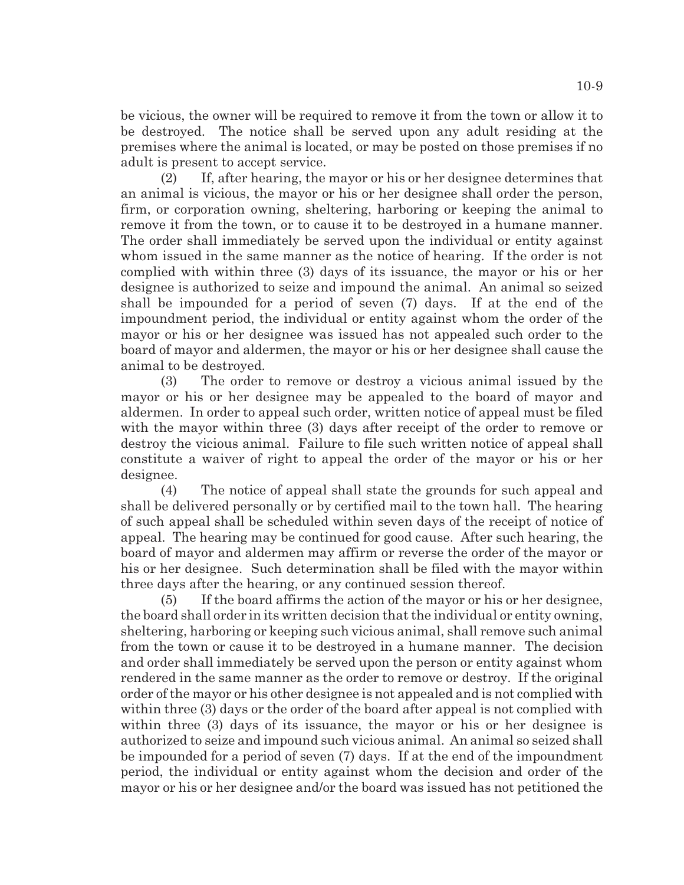be vicious, the owner will be required to remove it from the town or allow it to be destroyed. The notice shall be served upon any adult residing at the premises where the animal is located, or may be posted on those premises if no adult is present to accept service.

(2) If, after hearing, the mayor or his or her designee determines that an animal is vicious, the mayor or his or her designee shall order the person, firm, or corporation owning, sheltering, harboring or keeping the animal to remove it from the town, or to cause it to be destroyed in a humane manner. The order shall immediately be served upon the individual or entity against whom issued in the same manner as the notice of hearing. If the order is not complied with within three (3) days of its issuance, the mayor or his or her designee is authorized to seize and impound the animal. An animal so seized shall be impounded for a period of seven (7) days. If at the end of the impoundment period, the individual or entity against whom the order of the mayor or his or her designee was issued has not appealed such order to the board of mayor and aldermen, the mayor or his or her designee shall cause the animal to be destroyed.

(3) The order to remove or destroy a vicious animal issued by the mayor or his or her designee may be appealed to the board of mayor and aldermen. In order to appeal such order, written notice of appeal must be filed with the mayor within three (3) days after receipt of the order to remove or destroy the vicious animal. Failure to file such written notice of appeal shall constitute a waiver of right to appeal the order of the mayor or his or her designee.

(4) The notice of appeal shall state the grounds for such appeal and shall be delivered personally or by certified mail to the town hall. The hearing of such appeal shall be scheduled within seven days of the receipt of notice of appeal. The hearing may be continued for good cause. After such hearing, the board of mayor and aldermen may affirm or reverse the order of the mayor or his or her designee. Such determination shall be filed with the mayor within three days after the hearing, or any continued session thereof.

(5) If the board affirms the action of the mayor or his or her designee, the board shall order in its written decision that the individual or entity owning, sheltering, harboring or keeping such vicious animal, shall remove such animal from the town or cause it to be destroyed in a humane manner. The decision and order shall immediately be served upon the person or entity against whom rendered in the same manner as the order to remove or destroy. If the original order of the mayor or his other designee is not appealed and is not complied with within three (3) days or the order of the board after appeal is not complied with within three (3) days of its issuance, the mayor or his or her designee is authorized to seize and impound such vicious animal. An animal so seized shall be impounded for a period of seven (7) days. If at the end of the impoundment period, the individual or entity against whom the decision and order of the mayor or his or her designee and/or the board was issued has not petitioned the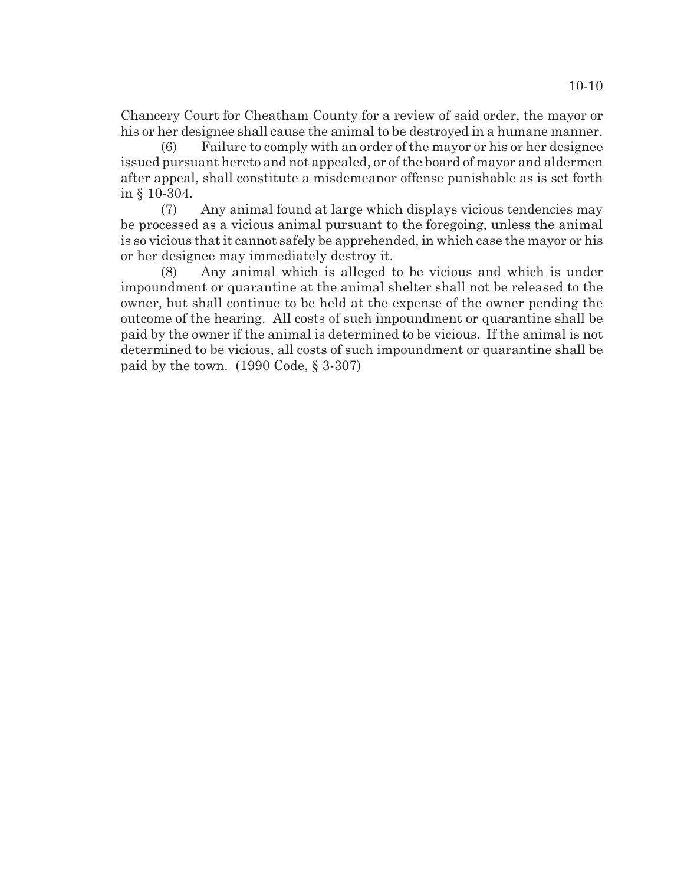Chancery Court for Cheatham County for a review of said order, the mayor or his or her designee shall cause the animal to be destroyed in a humane manner.

(6) Failure to comply with an order of the mayor or his or her designee issued pursuant hereto and not appealed, or of the board of mayor and aldermen after appeal, shall constitute a misdemeanor offense punishable as is set forth in § 10-304.

(7) Any animal found at large which displays vicious tendencies may be processed as a vicious animal pursuant to the foregoing, unless the animal is so vicious that it cannot safely be apprehended, in which case the mayor or his or her designee may immediately destroy it.

(8) Any animal which is alleged to be vicious and which is under impoundment or quarantine at the animal shelter shall not be released to the owner, but shall continue to be held at the expense of the owner pending the outcome of the hearing. All costs of such impoundment or quarantine shall be paid by the owner if the animal is determined to be vicious. If the animal is not determined to be vicious, all costs of such impoundment or quarantine shall be paid by the town. (1990 Code, § 3-307)